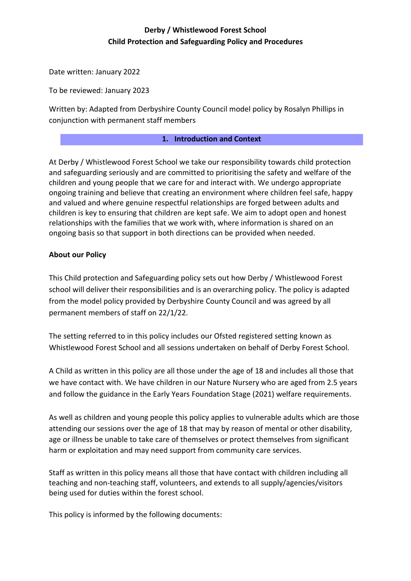# **Derby / Whistlewood Forest School Child Protection and Safeguarding Policy and Procedures**

Date written: January 2022

To be reviewed: January 2023

Written by: Adapted from Derbyshire County Council model policy by Rosalyn Phillips in conjunction with permanent staff members

#### **1. Introduction and Context**

At Derby / Whistlewood Forest School we take our responsibility towards child protection and safeguarding seriously and are committed to prioritising the safety and welfare of the children and young people that we care for and interact with. We undergo appropriate ongoing training and believe that creating an environment where children feel safe, happy and valued and where genuine respectful relationships are forged between adults and children is key to ensuring that children are kept safe. We aim to adopt open and honest relationships with the families that we work with, where information is shared on an ongoing basis so that support in both directions can be provided when needed.

### **About our Policy**

This Child protection and Safeguarding policy sets out how Derby / Whistlewood Forest school will deliver their responsibilities and is an overarching policy. The policy is adapted from the model policy provided by Derbyshire County Council and was agreed by all permanent members of staff on 22/1/22.

The setting referred to in this policy includes our Ofsted registered setting known as Whistlewood Forest School and all sessions undertaken on behalf of Derby Forest School.

A Child as written in this policy are all those under the age of 18 and includes all those that we have contact with. We have children in our Nature Nursery who are aged from 2.5 years and follow the guidance in the Early Years Foundation Stage (2021) welfare requirements.

As well as children and young people this policy applies to vulnerable adults which are those attending our sessions over the age of 18 that may by reason of mental or other disability, age or illness be unable to take care of themselves or protect themselves from significant harm or exploitation and may need support from community care services.

Staff as written in this policy means all those that have contact with children including all teaching and non-teaching staff, volunteers, and extends to all supply/agencies/visitors being used for duties within the forest school.

This policy is informed by the following documents: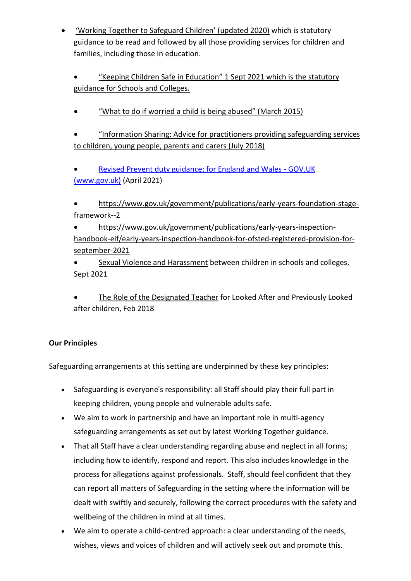• ['Working Together to Safeguard Children' \(](https://www.gov.uk/government/publications/working-together-to-safeguard-children--2)updated 2020) which is statutory guidance to be read and followed by all those providing services for children and families, including those in education.

• ["Keeping Children Safe in Education"](https://www.gov.uk/government/publications/keeping-children-safe-in-education--2) 1 Sept 2021 which is the statutory guidance for Schools and Colleges.

• ["What to do if worried a child is being abused" \(March 2015\)](https://www.gov.uk/government/publications/what-to-do-if-youre-worried-a-child-is-being-abused--2)

• ["Information Sharing: Advice for practitioners](https://www.gov.uk/government/publications/safeguarding-practitioners-information-sharing-advice) providing safeguarding services to children, young people, parents and carers (July 2018)

• [Revised Prevent duty guidance: for England and Wales -](https://www.gov.uk/government/publications/prevent-duty-guidance/revised-prevent-duty-guidance-for-england-and-wales) GOV.UK [\(www.gov.uk\)](https://www.gov.uk/government/publications/prevent-duty-guidance/revised-prevent-duty-guidance-for-england-and-wales) (April 2021)

• [https://www.gov.uk/government/publications/early-years-foundation-stage](https://www.gov.uk/government/publications/early-years-foundation-stage-framework--2)[framework--2](https://www.gov.uk/government/publications/early-years-foundation-stage-framework--2)

• [https://www.gov.uk/government/publications/early-years-inspection](https://www.gov.uk/government/publications/early-years-inspection-handbook-eif/early-years-inspection-handbook-for-ofsted-registered-provision-for-september-2021)[handbook-eif/early-years-inspection-handbook-for-ofsted-registered-provision-for](https://www.gov.uk/government/publications/early-years-inspection-handbook-eif/early-years-inspection-handbook-for-ofsted-registered-provision-for-september-2021)[september-2021](https://www.gov.uk/government/publications/early-years-inspection-handbook-eif/early-years-inspection-handbook-for-ofsted-registered-provision-for-september-2021)

• [Sexual Violence and Harassment](https://www.gov.uk/government/publications/sexual-violence-and-sexual-harassment-between-children-in-schools-and-colleges) between children in schools and colleges, Sept 2021

[The Role of the Designated Teacher](https://www.gov.uk/government/publications/designated-teacher-for-looked-after-children) for Looked After and Previously Looked after children, Feb 2018

# **Our Principles**

Safeguarding arrangements at this setting are underpinned by these key principles:

- Safeguarding is everyone's responsibility: all Staff should play their full part in keeping children, young people and vulnerable adults safe.
- We aim to work in partnership and have an important role in multi-agency safeguarding arrangements as set out by latest Working Together guidance.
- That all Staff have a clear understanding regarding abuse and neglect in all forms; including how to identify, respond and report. This also includes knowledge in the process for allegations against professionals. Staff, should feel confident that they can report all matters of Safeguarding in the setting where the information will be dealt with swiftly and securely, following the correct procedures with the safety and wellbeing of the children in mind at all times.
- We aim to operate a child-centred approach: a clear understanding of the needs, wishes, views and voices of children and will actively seek out and promote this.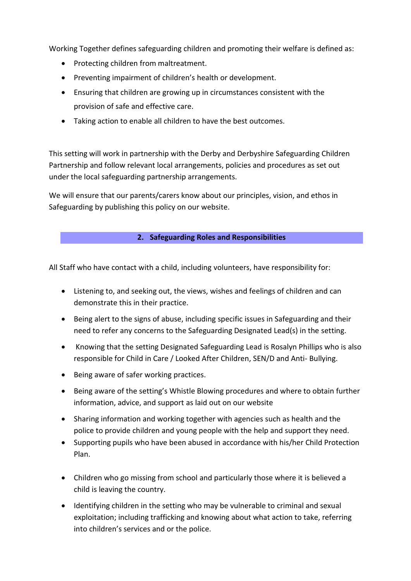Working Together defines safeguarding children and promoting their welfare is defined as:

- Protecting children from maltreatment.
- Preventing impairment of children's health or development.
- Ensuring that children are growing up in circumstances consistent with the provision of safe and effective care.
- Taking action to enable all children to have the best outcomes.

This setting will work in partnership with the Derby and Derbyshire Safeguarding Children Partnership and follow relevant local arrangements, policies and procedures as set out under the local safeguarding partnership arrangements.

We will ensure that our parents/carers know about our principles, vision, and ethos in Safeguarding by publishing this policy on our website.

#### **2. Safeguarding Roles and Responsibilities**

All Staff who have contact with a child, including volunteers, have responsibility for:

- Listening to, and seeking out, the views, wishes and feelings of children and can demonstrate this in their practice.
- Being alert to the signs of abuse, including specific issues in Safeguarding and their need to refer any concerns to the Safeguarding Designated Lead(s) in the setting.
- Knowing that the setting Designated Safeguarding Lead is Rosalyn Phillips who is also responsible for Child in Care / Looked After Children, SEN/D and Anti- Bullying.
- Being aware of safer working practices.
- Being aware of the setting's Whistle Blowing procedures and where to obtain further information, advice, and support as laid out on our website
- Sharing information and working together with agencies such as health and the police to provide children and young people with the help and support they need.
- Supporting pupils who have been abused in accordance with his/her Child Protection Plan.
- Children who go missing from school and particularly those where it is believed a child is leaving the country.
- Identifying children in the setting who may be vulnerable to criminal and sexual exploitation; including trafficking and knowing about what action to take, referring into children's services and or the police.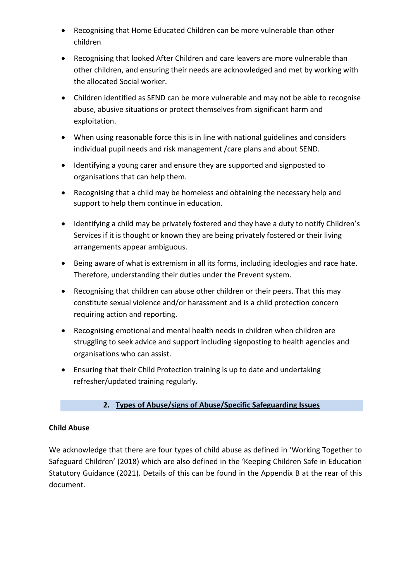- Recognising that Home Educated Children can be more vulnerable than other children
- Recognising that looked After Children and care leavers are more vulnerable than other children, and ensuring their needs are acknowledged and met by working with the allocated Social worker.
- Children identified as SEND can be more vulnerable and may not be able to recognise abuse, abusive situations or protect themselves from significant harm and exploitation.
- When using reasonable force this is in line with national guidelines and considers individual pupil needs and risk management /care plans and about SEND.
- Identifying a young carer and ensure they are supported and signposted to organisations that can help them.
- Recognising that a child may be homeless and obtaining the necessary help and support to help them continue in education.
- Identifying a child may be privately fostered and they have a duty to notify Children's Services if it is thought or known they are being privately fostered or their living arrangements appear ambiguous.
- Being aware of what is extremism in all its forms, including ideologies and race hate. Therefore, understanding their duties under the Prevent system.
- Recognising that children can abuse other children or their peers. That this may constitute sexual violence and/or harassment and is a child protection concern requiring action and reporting.
- Recognising emotional and mental health needs in children when children are struggling to seek advice and support including signposting to health agencies and organisations who can assist.
- Ensuring that their Child Protection training is up to date and undertaking refresher/updated training regularly.

# **2. Types of Abuse/signs of Abuse/Specific Safeguarding Issues**

### **Child Abuse**

We acknowledge that there are four types of child abuse as defined in 'Working Together to Safeguard Children' (2018) which are also defined in the 'Keeping Children Safe in Education Statutory Guidance (2021). Details of this can be found in the Appendix B at the rear of this document.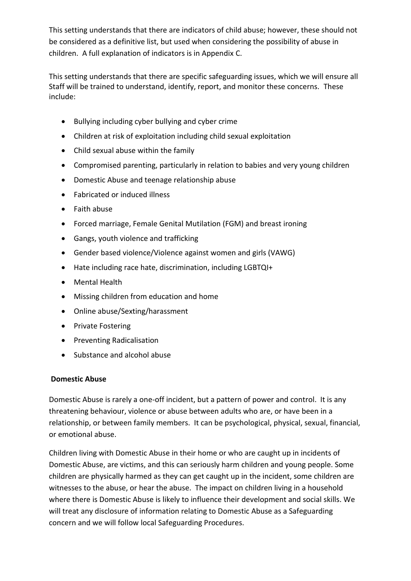This setting understands that there are indicators of child abuse; however, these should not be considered as a definitive list, but used when considering the possibility of abuse in children. A full explanation of indicators is in Appendix C.

This setting understands that there are specific safeguarding issues, which we will ensure all Staff will be trained to understand, identify, report, and monitor these concerns. These include:

- Bullying including cyber bullying and cyber crime
- Children at risk of exploitation including child sexual exploitation
- Child sexual abuse within the family
- Compromised parenting, particularly in relation to babies and very young children
- Domestic Abuse and teenage relationship abuse
- Fabricated or induced illness
- Faith abuse
- Forced marriage, Female Genital Mutilation (FGM) and breast ironing
- Gangs, youth violence and trafficking
- Gender based violence/Violence against women and girls (VAWG)
- Hate including race hate, discrimination, including LGBTQI+
- Mental Health
- Missing children from education and home
- Online abuse/Sexting/harassment
- Private Fostering
- Preventing Radicalisation
- Substance and alcohol abuse

#### **Domestic Abuse**

Domestic Abuse is rarely a one-off incident, but a pattern of power and control. It is any threatening behaviour, violence or abuse between adults who are, or have been in a relationship, or between family members. It can be psychological, physical, sexual, financial, or emotional abuse.

Children living with Domestic Abuse in their home or who are caught up in incidents of Domestic Abuse, are victims, and this can seriously harm children and young people. Some children are physically harmed as they can get caught up in the incident, some children are witnesses to the abuse, or hear the abuse. The impact on children living in a household where there is Domestic Abuse is likely to influence their development and social skills. We will treat any disclosure of information relating to Domestic Abuse as a Safeguarding concern and we will follow local Safeguarding Procedures.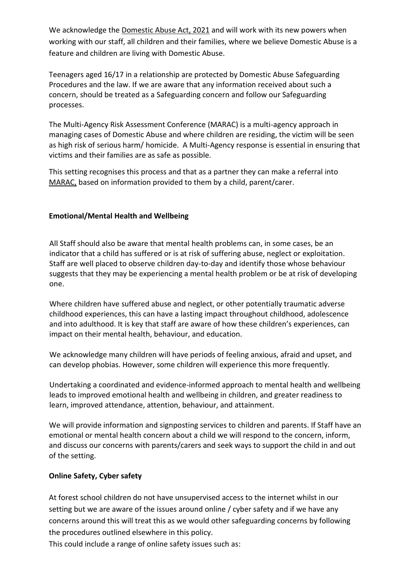We acknowledge the [Domestic Abuse Act, 2021](https://www.gov.uk/government/publications/domestic-abuse-bill-2020-factsheets/domestic-abuse-bill-2020-overarching-factsheet) and will work with its new powers when working with our staff, all children and their families, where we believe Domestic Abuse is a feature and children are living with Domestic Abuse.

Teenagers aged 16/17 in a relationship are protected by Domestic Abuse Safeguarding Procedures and the law. If we are aware that any information received about such a concern, should be treated as a Safeguarding concern and follow our Safeguarding processes.

The Multi-Agency Risk Assessment Conference (MARAC) is a multi-agency approach in managing cases of Domestic Abuse and where children are residing, the victim will be seen as high risk of serious harm/ homicide. A Multi-Agency response is essential in ensuring that victims and their families are as safe as possible.

This setting recognises this process and that as a partner they can make a referral into [MARAC,](https://www.saferderbyshire.gov.uk/what-we-do/domestic-abuse/staff-guidance/adults/marac/multi-agency-risk-assessment-conference.aspx) based on information provided to them by a child, parent/carer.

## **Emotional/Mental Health and Wellbeing**

All Staff should also be aware that mental health problems can, in some cases, be an indicator that a child has suffered or is at risk of suffering abuse, neglect or exploitation. Staff are well placed to observe children day-to-day and identify those whose behaviour suggests that they may be experiencing a mental health problem or be at risk of developing one.

Where children have suffered abuse and neglect, or other potentially traumatic adverse childhood experiences, this can have a lasting impact throughout childhood, adolescence and into adulthood. It is key that staff are aware of how these children's experiences, can impact on their mental health, behaviour, and education.

We acknowledge many children will have periods of feeling anxious, afraid and upset, and can develop phobias. However, some children will experience this more frequently.

Undertaking a coordinated and evidence-informed approach to mental health and wellbeing leads to improved emotional health and wellbeing in children, and greater readiness to learn, improved attendance, attention, behaviour, and attainment.

We will provide information and signposting services to children and parents. If Staff have an emotional or mental health concern about a child we will respond to the concern, inform, and discuss our concerns with parents/carers and seek ways to support the child in and out of the setting.

### **Online Safety, Cyber safety**

At forest school children do not have unsupervised access to the internet whilst in our setting but we are aware of the issues around online / cyber safety and if we have any concerns around this will treat this as we would other safeguarding concerns by following the procedures outlined elsewhere in this policy.

This could include a range of online safety issues such as: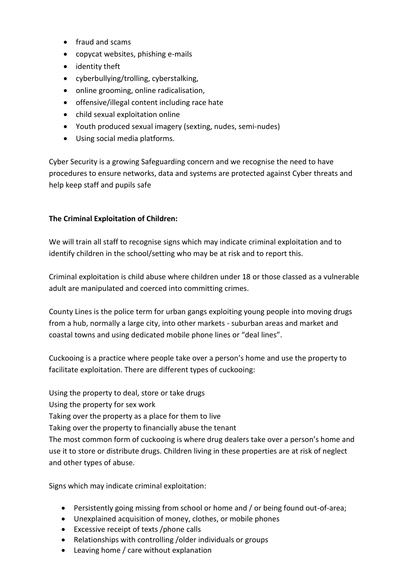- fraud and scams
- copycat websites, phishing e-mails
- identity theft
- cyberbullying/trolling, cyberstalking,
- online grooming, online radicalisation,
- offensive/illegal content including race hate
- child sexual exploitation online
- Youth produced sexual imagery (sexting, nudes, semi-nudes)
- Using social media platforms.

Cyber Security is a growing Safeguarding concern and we recognise the need to have procedures to ensure networks, data and systems are protected against Cyber threats and help keep staff and pupils safe

## **The Criminal Exploitation of Children:**

We will train all staff to recognise signs which may indicate criminal exploitation and to identify children in the school/setting who may be at risk and to report this.

Criminal exploitation is child abuse where children under 18 or those classed as a vulnerable adult are manipulated and coerced into committing crimes.

County Lines is the police term for urban gangs exploiting young people into moving drugs from a hub, normally a large city, into other markets - suburban areas and market and coastal towns and using dedicated mobile phone lines or "deal lines".

Cuckooing is a practice where people take over a person's home and use the property to facilitate exploitation. There are different types of cuckooing:

Using the property to deal, store or take drugs

Using the property for sex work

Taking over the property as a place for them to live

Taking over the property to financially abuse the tenant

The most common form of cuckooing is where drug dealers take over a person's home and use it to store or distribute drugs. Children living in these properties are at risk of neglect and other types of abuse.

Signs which may indicate criminal exploitation:

- Persistently going missing from school or home and / or being found out-of-area;
- Unexplained acquisition of money, clothes, or mobile phones
- Excessive receipt of texts /phone calls
- Relationships with controlling /older individuals or groups
- Leaving home / care without explanation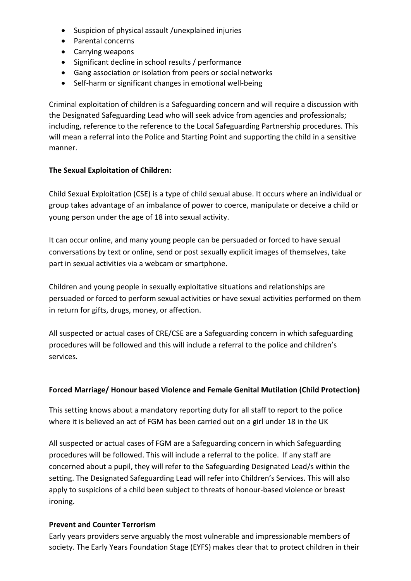- Suspicion of physical assault /unexplained injuries
- Parental concerns
- Carrying weapons
- Significant decline in school results / performance
- Gang association or isolation from peers or social networks
- Self-harm or significant changes in emotional well-being

Criminal exploitation of children is a Safeguarding concern and will require a discussion with the Designated Safeguarding Lead who will seek advice from agencies and professionals; including, reference to the reference to the Local Safeguarding Partnership procedures. This will mean a referral into the Police and Starting Point and supporting the child in a sensitive manner.

### **The Sexual Exploitation of Children:**

Child Sexual Exploitation (CSE) is a type of child sexual abuse. It occurs where an individual or group takes advantage of an imbalance of power to coerce, manipulate or deceive a child or young person under the age of 18 into sexual activity.

It can occur online, and many young people can be persuaded or forced to have sexual conversations by text or online, send or post sexually explicit images of themselves, take part in sexual activities via a webcam or smartphone.

Children and young people in sexually exploitative situations and relationships are persuaded or forced to perform sexual activities or have sexual activities performed on them in return for gifts, drugs, money, or affection.

All suspected or actual cases of CRE/CSE are a Safeguarding concern in which safeguarding procedures will be followed and this will include a referral to the police and children's services.

### **Forced Marriage/ Honour based Violence and Female Genital Mutilation (Child Protection)**

This setting knows about a mandatory reporting duty for all staff to report to the police where it is believed an act of FGM has been carried out on a girl under 18 in the UK

All suspected or actual cases of FGM are a Safeguarding concern in which Safeguarding procedures will be followed. This will include a referral to the police. If any staff are concerned about a pupil, they will refer to the Safeguarding Designated Lead/s within the setting. The Designated Safeguarding Lead will refer into Children's Services. This will also apply to suspicions of a child been subject to threats of honour-based violence or breast ironing.

#### **Prevent and Counter Terrorism**

Early years providers serve arguably the most vulnerable and impressionable members of society. The Early Years Foundation Stage (EYFS) makes clear that to protect children in their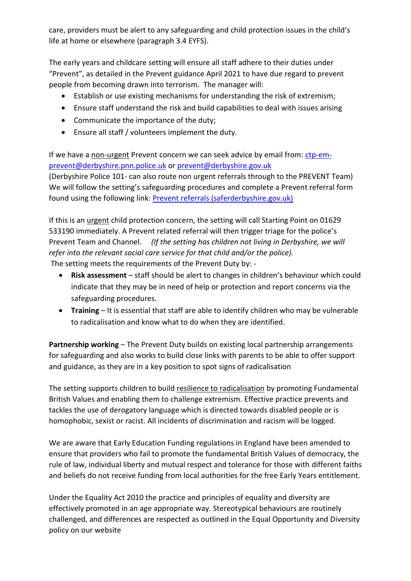care, providers must be alert to any safeguarding and child protection issues in the child's life at home or elsewhere (paragraph 3.4 EYFS).

The early years and childcare setting will ensure all staff adhere to their duties under "Prevent", as detailed in the Prevent guidance April 2021 to have due regard to prevent people from becoming drawn into terrorism. The manager will:

- Establish or use existing mechanisms for understanding the risk of extremism;
- Ensure staff understand the risk and build capabilities to deal with issues arising
- Communicate the importance of the duty;
- Ensure all staff / volunteers implement the duty.

If we have a non-urgent Prevent concern we can seek advice by email from: [ctp-em](mailto:ctp-em-prevent@derbyshire.pnn.police.uk)[prevent@derbyshire.pnn.police.uk](mailto:ctp-em-prevent@derbyshire.pnn.police.uk) or [prevent@derbyshire.gov.uk](mailto:prevent@derbyshire.gov.uk) 

(Derbyshire Police 101- can also route non urgent referrals through to the PREVENT Team) We will follow the setting's safeguarding procedures and complete a Prevent referral form found using the following link: **Prevent referrals (saferderbyshire.gov.uk)** 

If this is an *urgent* child protection concern, the setting will call Starting Point on 01629 533190 immediately. A Prevent related referral will then trigger triage for the police's Prevent Team and Channel. *(If the setting has children not living in Derbyshire, we will refer into the relevant social care service for that child and/or the police).*  The setting meets the requirements of the Prevent Duty by: -

• **Risk assessment** – staff should be alert to changes in children's behaviour which could indicate that they may be in need of help or protection and report concerns via the safeguarding procedures.

• **Training** – It is essential that staff are able to identify children who may be vulnerable to radicalisation and know what to do when they are identified.

**Partnership working** – The Prevent Duty builds on existing local partnership arrangements for safeguarding and also works to build close links with parents to be able to offer support and guidance, as they are in a key position to spot signs of radicalisation

The setting supports children to build resilience to radicalisation by promoting Fundamental British Values and enabling them to challenge extremism. Effective practice prevents and tackles the use of derogatory language which is directed towards disabled people or is homophobic, sexist or racist. All incidents of discrimination and racism will be logged.

We are aware that Early Education Funding regulations in England have been amended to ensure that providers who fail to promote the fundamental British Values of democracy, the rule of law, individual liberty and mutual respect and tolerance for those with different faiths and beliefs do not receive funding from local authorities for the free Early Years entitlement.

Under the Equality Act 2010 the practice and principles of equality and diversity are effectively promoted in an age appropriate way. Stereotypical behaviours are routinely challenged, and differences are respected as outlined in the Equal Opportunity and Diversity policy on our website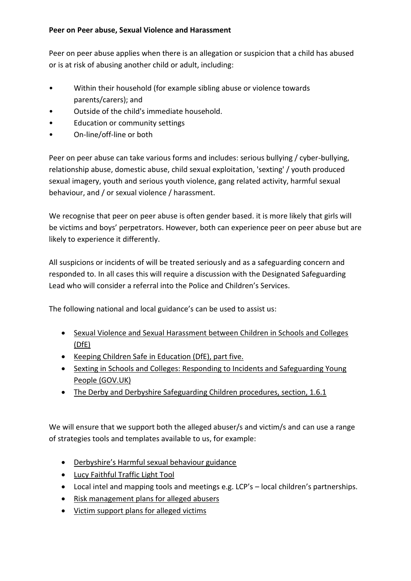#### **Peer on Peer abuse, Sexual Violence and Harassment**

Peer on peer abuse applies when there is an allegation or suspicion that a child has abused or is at risk of abusing another child or adult, including:

- Within their household (for example sibling abuse or violence towards parents/carers); and
- Outside of the child's immediate household.
- Education or community settings
- On-line/off-line or both

Peer on peer abuse can take various forms and includes: serious bullying / cyber-bullying, relationship abuse, domestic abuse, child sexual exploitation, 'sexting' / youth produced sexual imagery, youth and serious youth violence, gang related activity, harmful sexual behaviour, and / or sexual violence / harassment.

We recognise that peer on peer abuse is often gender based. it is more likely that girls will be victims and boys' perpetrators. However, both can experience peer on peer abuse but are likely to experience it differently.

All suspicions or incidents of will be treated seriously and as a safeguarding concern and responded to. In all cases this will require a discussion with the Designated Safeguarding Lead who will consider a referral into the Police and Children's Services.

The following national and local guidance's can be used to assist us:

- [Sexual Violence and Sexual Harassment between Children in Schools and Colleges](https://www.gov.uk/government/publications/sexual-violence-and-sexual-harassment-between-children-in-schools-and-colleges)  [\(DfE\)](https://www.gov.uk/government/publications/sexual-violence-and-sexual-harassment-between-children-in-schools-and-colleges)
- [Keeping Children Safe in Education \(DfE\), part five.](https://www.gov.uk/government/publications/keeping-children-safe-in-education--2)
- [Sexting in Schools and Colleges: Responding to Incidents and Safeguarding Young](https://www.safeguardinginschools.co.uk/wp-content/uploads/2016/08/Sexting-in-schools-and-colleges-UKCCIS-August-2016.pdf)  [People \(GOV.UK\)](https://www.safeguardinginschools.co.uk/wp-content/uploads/2016/08/Sexting-in-schools-and-colleges-UKCCIS-August-2016.pdf)
- [The Derby and Derbyshire Safeguarding Children procedures, section, 1.6.1](https://derbyshirescbs.proceduresonline.com/index.htm)

We will ensure that we support both the alleged abuser/s and victim/s and can use a range of strategies tools and templates available to us, for example:

- [Derbyshire's Harmful sexual behaviour guidance](https://schoolsnet.derbyshire.gov.uk/site-elements/documents/keeping-children-safe-in-education/emerging-school-safeguarding-themes/peer-on-peer-abuse-guidance-for-schools-and-colleges.pdf)
- [Lucy Faithful Traffic Light Tool](https://www.parentsprotect.co.uk/traffic-light-tools.htm)
- Local intel and mapping tools and meetings e.g. LCP's local children's partnerships.
- [Risk management plans for alleged abusers](https://schoolsnet.derbyshire.gov.uk/keeping-children-safe-in-education/safeguarding-issues-for-schools-and-education-settings/harmful-sexual-behaviours-in-children-and-young-people.aspx)
- [Victim support plans for alleged victims](https://schoolsnet.derbyshire.gov.uk/keeping-children-safe-in-education/safeguarding-issues-for-schools-and-education-settings/harmful-sexual-behaviours-in-children-and-young-people.aspx)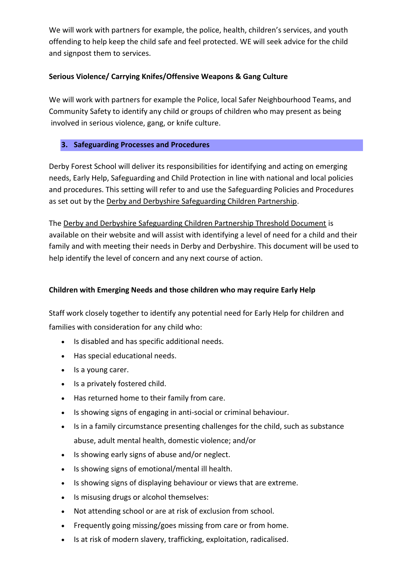We will work with partners for example, the police, health, children's services, and youth offending to help keep the child safe and feel protected. WE will seek advice for the child and signpost them to services.

## **Serious Violence/ Carrying Knifes/Offensive Weapons & Gang Culture**

We will work with partners for example the Police, local Safer Neighbourhood Teams, and Community Safety to identify any child or groups of children who may present as being involved in serious violence, gang, or knife culture.

### **3. Safeguarding Processes and Procedures**

Derby Forest School will deliver its responsibilities for identifying and acting on emerging needs, Early Help, Safeguarding and Child Protection in line with national and local policies and procedures. This setting will refer to and use the Safeguarding Policies and Procedures as set out by the [Derby and Derbyshire Safeguarding Children Partnership.](https://schoolsnet.derbyshire.gov.uk/keeping-children-safe-in-education/derby-and-derbyshire-safeguarding-children-partnership/derby-and-derbyshire-safeguarding-children-partnership.aspx)

Th[e Derby and Derbyshire Safeguarding Children Partnership Threshold Document](https://derbyshirescbs.proceduresonline.com/docs_library.html#guidance) is available on their website and will assist with identifying a level of need for a child and their family and with meeting their needs in Derby and Derbyshire. This document will be used to help identify the level of concern and any next course of action.

## **Children with Emerging Needs and those children who may require Early Help**

Staff work closely together to identify any potential need for Early Help for children and families with consideration for any child who:

- Is disabled and has specific additional needs.
- Has special educational needs.
- Is a young carer.
- Is a privately fostered child.
- Has returned home to their family from care.
- Is showing signs of engaging in anti-social or criminal behaviour.
- Is in a family circumstance presenting challenges for the child, such as substance abuse, adult mental health, domestic violence; and/or
- Is showing early signs of abuse and/or neglect.
- Is showing signs of emotional/mental ill health.
- Is showing signs of displaying behaviour or views that are extreme.
- Is misusing drugs or alcohol themselves:
- Not attending school or are at risk of exclusion from school.
- Frequently going missing/goes missing from care or from home.
- Is at risk of modern slavery, trafficking, exploitation, radicalised.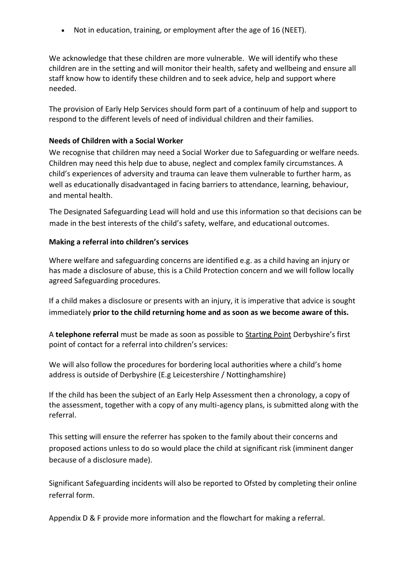• Not in education, training, or employment after the age of 16 (NEET).

We acknowledge that these children are more vulnerable. We will identify who these children are in the setting and will monitor their health, safety and wellbeing and ensure all staff know how to identify these children and to seek advice, help and support where needed.

The provision of Early Help Services should form part of a continuum of help and support to respond to the different levels of need of individual children and their families.

#### **Needs of Children with a Social Worker**

We recognise that children may need a Social Worker due to Safeguarding or welfare needs. Children may need this help due to abuse, neglect and complex family circumstances. A child's experiences of adversity and trauma can leave them vulnerable to further harm, as well as educationally disadvantaged in facing barriers to attendance, learning, behaviour, and mental health.

The Designated Safeguarding Lead will hold and use this information so that decisions can be made in the best interests of the child's safety, welfare, and educational outcomes.

#### **Making a referral into children's services**

Where welfare and safeguarding concerns are identified e.g. as a child having an injury or has made a disclosure of abuse, this is a Child Protection concern and we will follow locally agreed Safeguarding procedures.

If a child makes a disclosure or presents with an injury, it is imperative that advice is sought immediately **prior to the child returning home and as soon as we become aware of this.** 

A **telephone referral** must be made as soon as possible to [Starting Point](https://www.derbyshire.gov.uk/social-health/children-and-families/support-for-families/starting-point-referral-form/starting-point-contact-and-referral-service.aspx) Derbyshire's first point of contact for a referral into children's services:

We will also follow the procedures for bordering local authorities where a child's home address is outside of Derbyshire (E.g Leicestershire / Nottinghamshire)

If the child has been the subject of an Early Help Assessment then a chronology, a copy of the assessment, together with a copy of any multi-agency plans, is submitted along with the referral.

This setting will ensure the referrer has spoken to the family about their concerns and proposed actions unless to do so would place the child at significant risk (imminent danger because of a disclosure made).

Significant Safeguarding incidents will also be reported to Ofsted by completing their online referral form.

Appendix D & F provide more information and the flowchart for making a referral.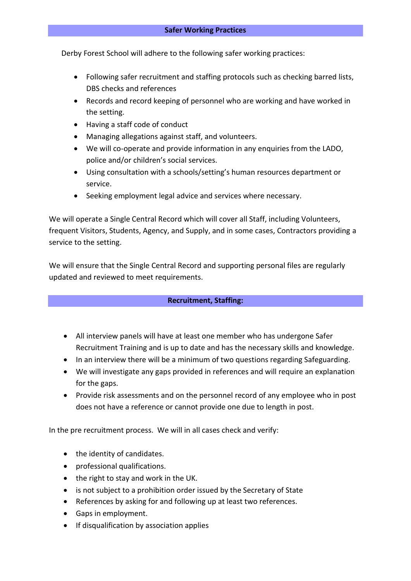Derby Forest School will adhere to the following safer working practices:

- Following safer recruitment and staffing protocols such as checking barred lists, DBS checks and references
- Records and record keeping of personnel who are working and have worked in the setting.
- Having a staff code of conduct
- Managing allegations against staff, and volunteers.
- We will co-operate and provide information in any enquiries from the LADO, police and/or children's social services.
- Using consultation with a schools/setting's human resources department or service.
- Seeking employment legal advice and services where necessary.

We will operate a Single Central Record which will cover all Staff, including Volunteers, frequent Visitors, Students, Agency, and Supply, and in some cases, Contractors providing a service to the setting.

We will ensure that the Single Central Record and supporting personal files are regularly updated and reviewed to meet requirements.

### **Recruitment, Staffing:**

- All interview panels will have at least one member who has undergone Safer Recruitment Training and is up to date and has the necessary skills and knowledge.
- In an interview there will be a minimum of two questions regarding Safeguarding.
- We will investigate any gaps provided in references and will require an explanation for the gaps.
- Provide risk assessments and on the personnel record of any employee who in post does not have a reference or cannot provide one due to length in post.

In the pre recruitment process. We will in all cases check and verify:

- the identity of candidates.
- professional qualifications.
- the right to stay and work in the UK.
- is not subject to a prohibition order issued by the Secretary of State
- References by asking for and following up at least two references.
- Gaps in employment.
- If disqualification by association applies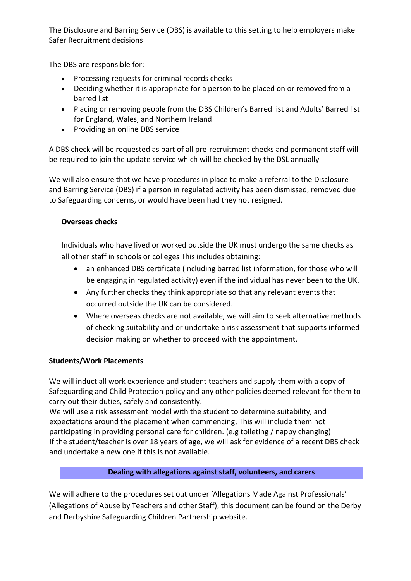The Disclosure and Barring Service (DBS) is available to this setting to help employers make Safer Recruitment decisions

The DBS are responsible for:

- Processing requests for criminal records checks
- Deciding whether it is appropriate for a person to be placed on or removed from a barred list
- Placing or removing people from the DBS Children's Barred list and Adults' Barred list for England, Wales, and Northern Ireland
- Providing an online DBS service

A DBS check will be requested as part of all pre-recruitment checks and permanent staff will be required to join the update service which will be checked by the DSL annually

We will also ensure that we have procedures in place to make a referral to the Disclosure and Barring Service (DBS) if a person in regulated activity has been dismissed, removed due to Safeguarding concerns, or would have been had they not resigned.

# **Overseas checks**

Individuals who have lived or worked outside the UK must undergo the same checks as all other staff in schools or colleges This includes obtaining:

- an enhanced DBS certificate (including barred list information, for those who will be engaging in regulated activity) even if the individual has never been to the UK.
- Any further checks they think appropriate so that any relevant events that occurred outside the UK can be considered.
- Where overseas checks are not available, we will aim to seek alternative methods of checking suitability and or undertake a risk assessment that supports informed decision making on whether to proceed with the appointment.

# **Students/Work Placements**

We will induct all work experience and student teachers and supply them with a copy of Safeguarding and Child Protection policy and any other policies deemed relevant for them to carry out their duties, safely and consistently.

We will use a risk assessment model with the student to determine suitability, and expectations around the placement when commencing, This will include them not participating in providing personal care for children. (e.g toileting / nappy changing) If the student/teacher is over 18 years of age, we will ask for evidence of a recent DBS check and undertake a new one if this is not available.

# **Dealing with allegations against staff, volunteers, and carers**

We will adhere to the procedures set out under 'Allegations Made Against Professionals' (Allegations of Abuse by Teachers and other Staff), this document can be found on the Derby and Derbyshire Safeguarding Children Partnership website.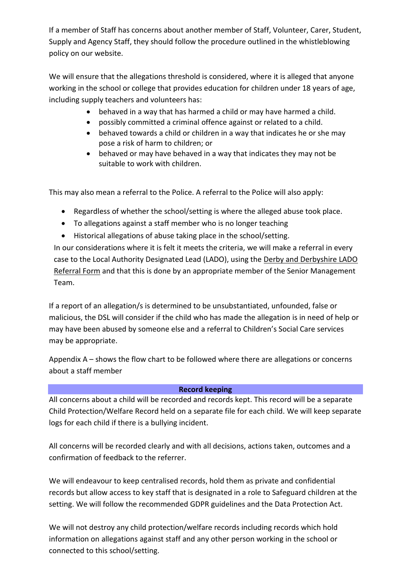If a member of Staff has concerns about another member of Staff, Volunteer, Carer, Student, Supply and Agency Staff, they should follow the procedure outlined in the whistleblowing policy on our website.

We will ensure that the allegations threshold is considered, where it is alleged that anyone working in the school or college that provides education for children under 18 years of age, including supply teachers and volunteers has:

- behaved in a way that has harmed a child or may have harmed a child.
- possibly committed a criminal offence against or related to a child.
- behaved towards a child or children in a way that indicates he or she may pose a risk of harm to children; or
- behaved or may have behaved in a way that indicates they may not be suitable to work with children.

This may also mean a referral to the Police. A referral to the Police will also apply:

- Regardless of whether the school/setting is where the alleged abuse took place.
- To allegations against a staff member who is no longer teaching
- Historical allegations of abuse taking place in the school/setting.

In our considerations where it is felt it meets the criteria, we will make a referral in every case to the Local Authority Designated Lead (LADO), using the [Derby and Derbyshire LADO](http://www.proceduresonline.com/derbyshire/scbs/user_controlled_lcms_area/uploaded_files/Derby%20and%20Derbyshire%20LADO%20referral%20form%20FINAL%20March%202017.docx)  [Referral Form](http://www.proceduresonline.com/derbyshire/scbs/user_controlled_lcms_area/uploaded_files/Derby%20and%20Derbyshire%20LADO%20referral%20form%20FINAL%20March%202017.docx) and that this is done by an appropriate member of the Senior Management Team.

If a report of an allegation/s is determined to be unsubstantiated, unfounded, false or malicious, the DSL will consider if the child who has made the allegation is in need of help or may have been abused by someone else and a referral to Children's Social Care services may be appropriate.

Appendix A – shows the flow chart to be followed where there are allegations or concerns about a staff member

### **Record keeping**

All concerns about a child will be recorded and records kept. This record will be a separate Child Protection/Welfare Record held on a separate file for each child. We will keep separate logs for each child if there is a bullying incident.

All concerns will be recorded clearly and with all decisions, actions taken, outcomes and a confirmation of feedback to the referrer.

We will endeavour to keep centralised records, hold them as private and confidential records but allow access to key staff that is designated in a role to Safeguard children at the setting. We will follow the recommended GDPR guidelines and the Data Protection Act.

We will not destroy any child protection/welfare records including records which hold information on allegations against staff and any other person working in the school or connected to this school/setting.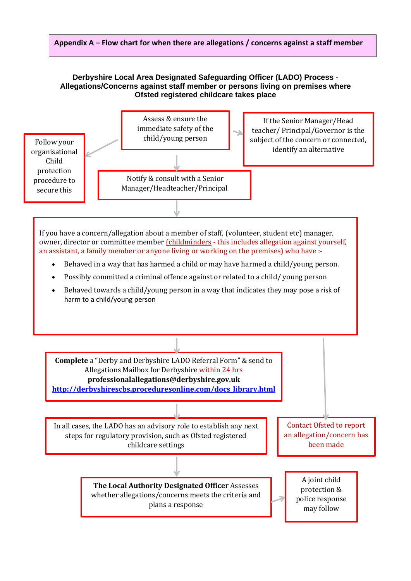#### **Appendix A – Flow chart for when there are allegations / concerns against a staff member**

#### **Derbyshire Local Area Designated Safeguarding Officer (LADO) Process** - **Allegations/Concerns against staff member or persons living on premises where Ofsted registered childcare takes place**



If you have a concern/allegation about a member of staff, (volunteer, student etc) manager, owner, director or committee member (childminders - this includes allegation against yourself, an assistant, a family member or anyone living or working on the premises) who have :-

- Behaved in a way that has harmed a child or may have harmed a child/young person.
- Possibly committed a criminal offence against or related to a child/ young person
- Behaved towards a child/young person in a way that indicates they may pose a risk of harm to a child/young person

**Complete** a "Derby and Derbyshire LADO Referral Form" & send to Allegations Mailbox for Derbyshire within 24 hrs **[professionalallegations@derbyshire.gov.uk](mailto:professionalallegations@derbyshire.gov.uk) [http://derbyshirescbs.proceduresonline.com/docs\\_library.html](http://derbyshirescbs.proceduresonline.com/docs_library.html)**

In all cases, the LADO has an advisory role to establish any next steps for regulatory provision, such as Ofsted registered childcare settings

> **The Local Authority Designated Officer** Assesses whether allegations/concerns meets the criteria and plans a response

Contact Ofsted to report an allegation/concern has been made

> A joint child protection & police response may follow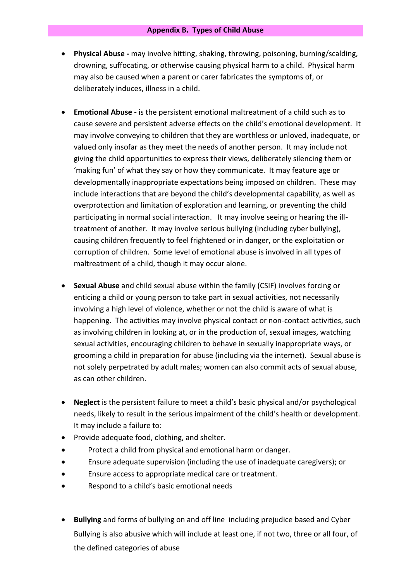- **Physical Abuse -** may involve hitting, shaking, throwing, poisoning, burning/scalding, drowning, suffocating, or otherwise causing physical harm to a child. Physical harm may also be caused when a parent or carer fabricates the symptoms of, or deliberately induces, illness in a child.
- **Emotional Abuse -** is the persistent emotional maltreatment of a child such as to cause severe and persistent adverse effects on the child's emotional development. It may involve conveying to children that they are worthless or unloved, inadequate, or valued only insofar as they meet the needs of another person. It may include not giving the child opportunities to express their views, deliberately silencing them or 'making fun' of what they say or how they communicate. It may feature age or developmentally inappropriate expectations being imposed on children. These may include interactions that are beyond the child's developmental capability, as well as overprotection and limitation of exploration and learning, or preventing the child participating in normal social interaction. It may involve seeing or hearing the illtreatment of another. It may involve serious bullying (including cyber bullying), causing children frequently to feel frightened or in danger, or the exploitation or corruption of children. Some level of emotional abuse is involved in all types of maltreatment of a child, though it may occur alone.
- **Sexual Abuse** and child sexual abuse within the family (CSIF) involves forcing or enticing a child or young person to take part in sexual activities, not necessarily involving a high level of violence, whether or not the child is aware of what is happening. The activities may involve physical contact or non-contact activities, such as involving children in looking at, or in the production of, sexual images, watching sexual activities, encouraging children to behave in sexually inappropriate ways, or grooming a child in preparation for abuse (including via the internet). Sexual abuse is not solely perpetrated by adult males; women can also commit acts of sexual abuse, as can other children.
- **Neglect** is the persistent failure to meet a child's basic physical and/or psychological needs, likely to result in the serious impairment of the child's health or development. It may include a failure to:
- Provide adequate food, clothing, and shelter.
- Protect a child from physical and emotional harm or danger.
- Ensure adequate supervision (including the use of inadequate caregivers); or
- Ensure access to appropriate medical care or treatment.
- Respond to a child's basic emotional needs
- **Bullying** and forms of bullying on and off line including prejudice based and Cyber Bullying is also abusive which will include at least one, if not two, three or all four, of the defined categories of abuse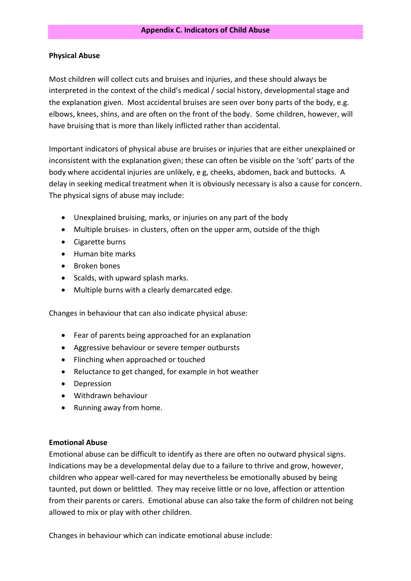#### **Physical Abuse**

Most children will collect cuts and bruises and injuries, and these should always be interpreted in the context of the child's medical / social history, developmental stage and the explanation given. Most accidental bruises are seen over bony parts of the body, e.g. elbows, knees, shins, and are often on the front of the body. Some children, however, will have bruising that is more than likely inflicted rather than accidental.

Important indicators of physical abuse are bruises or injuries that are either unexplained or inconsistent with the explanation given; these can often be visible on the 'soft' parts of the body where accidental injuries are unlikely, e g, cheeks, abdomen, back and buttocks. A delay in seeking medical treatment when it is obviously necessary is also a cause for concern. The physical signs of abuse may include:

- Unexplained bruising, marks, or injuries on any part of the body
- Multiple bruises- in clusters, often on the upper arm, outside of the thigh
- Cigarette burns
- Human bite marks
- Broken bones
- Scalds, with upward splash marks.
- Multiple burns with a clearly demarcated edge.

Changes in behaviour that can also indicate physical abuse:

- Fear of parents being approached for an explanation
- Aggressive behaviour or severe temper outbursts
- Flinching when approached or touched
- Reluctance to get changed, for example in hot weather
- Depression
- Withdrawn behaviour
- Running away from home.

#### **Emotional Abuse**

Emotional abuse can be difficult to identify as there are often no outward physical signs. Indications may be a developmental delay due to a failure to thrive and grow, however, children who appear well-cared for may nevertheless be emotionally abused by being taunted, put down or belittled. They may receive little or no love, affection or attention from their parents or carers. Emotional abuse can also take the form of children not being allowed to mix or play with other children.

Changes in behaviour which can indicate emotional abuse include: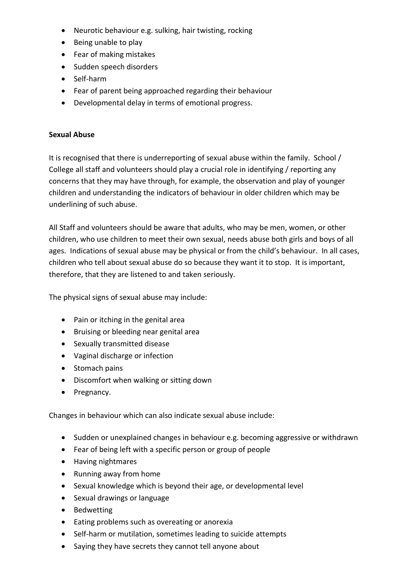- Neurotic behaviour e.g. sulking, hair twisting, rocking
- Being unable to play
- Fear of making mistakes
- Sudden speech disorders
- Self-harm
- Fear of parent being approached regarding their behaviour
- Developmental delay in terms of emotional progress.

## **Sexual Abuse**

It is recognised that there is underreporting of sexual abuse within the family. School / College all staff and volunteers should play a crucial role in identifying / reporting any concerns that they may have through, for example, the observation and play of younger children and understanding the indicators of behaviour in older children which may be underlining of such abuse.

All Staff and volunteers should be aware that adults, who may be men, women, or other children, who use children to meet their own sexual, needs abuse both girls and boys of all ages. Indications of sexual abuse may be physical or from the child's behaviour. In all cases, children who tell about sexual abuse do so because they want it to stop. It is important, therefore, that they are listened to and taken seriously.

The physical signs of sexual abuse may include:

- Pain or itching in the genital area
- Bruising or bleeding near genital area
- Sexually transmitted disease
- Vaginal discharge or infection
- Stomach pains
- Discomfort when walking or sitting down
- Pregnancy.

Changes in behaviour which can also indicate sexual abuse include:

- Sudden or unexplained changes in behaviour e.g. becoming aggressive or withdrawn
- Fear of being left with a specific person or group of people
- Having nightmares
- Running away from home
- Sexual knowledge which is beyond their age, or developmental level
- Sexual drawings or language
- Bedwetting
- Eating problems such as overeating or anorexia
- Self-harm or mutilation, sometimes leading to suicide attempts
- Saying they have secrets they cannot tell anyone about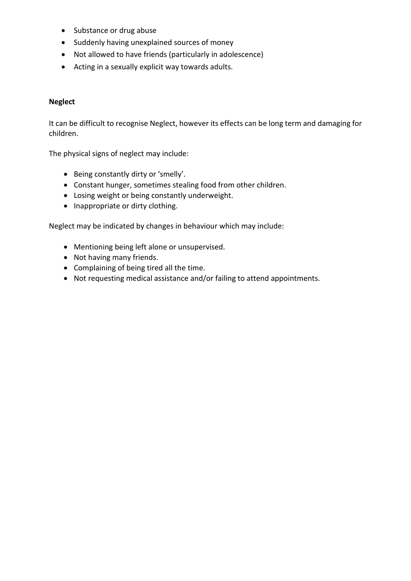- Substance or drug abuse
- Suddenly having unexplained sources of money
- Not allowed to have friends (particularly in adolescence)
- Acting in a sexually explicit way towards adults.

#### **Neglect**

It can be difficult to recognise Neglect, however its effects can be long term and damaging for children.

The physical signs of neglect may include:

- Being constantly dirty or 'smelly'.
- Constant hunger, sometimes stealing food from other children.
- Losing weight or being constantly underweight.
- Inappropriate or dirty clothing.

Neglect may be indicated by changes in behaviour which may include:

- Mentioning being left alone or unsupervised.
- Not having many friends.
- Complaining of being tired all the time.
- Not requesting medical assistance and/or failing to attend appointments.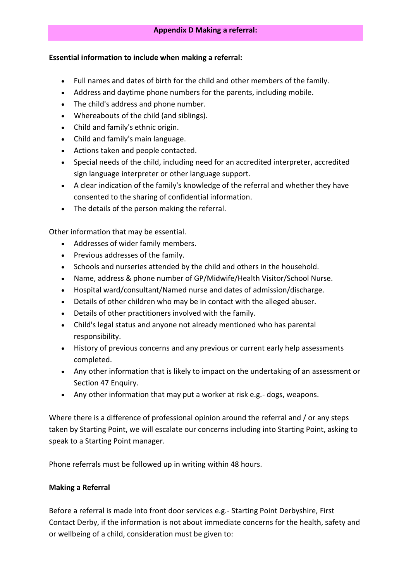#### **Essential information to include when making a referral:**

- Full names and dates of birth for the child and other members of the family.
- Address and daytime phone numbers for the parents, including mobile.
- The child's address and phone number.
- Whereabouts of the child (and siblings).
- Child and family's ethnic origin.
- Child and family's main language.
- Actions taken and people contacted.
- Special needs of the child, including need for an accredited interpreter, accredited sign language interpreter or other language support.
- A clear indication of the family's knowledge of the referral and whether they have consented to the sharing of confidential information.
- The details of the person making the referral.

Other information that may be essential.

- Addresses of wider family members.
- Previous addresses of the family.
- Schools and nurseries attended by the child and others in the household.
- Name, address & phone number of GP/Midwife/Health Visitor/School Nurse.
- Hospital ward/consultant/Named nurse and dates of admission/discharge.
- Details of other children who may be in contact with the alleged abuser.
- Details of other practitioners involved with the family.
- Child's legal status and anyone not already mentioned who has parental responsibility.
- History of previous concerns and any previous or current early help assessments completed.
- Any other information that is likely to impact on the undertaking of an assessment or [Section 47 Enquiry.](http://trixresources.proceduresonline.com/nat_key/keywords/sec_47_enq.html)
- Any other information that may put a worker at risk e.g.- dogs, weapons.

Where there is a difference of professional opinion around the referral and / or any steps taken by Starting Point, we will escalate our concerns including into Starting Point, asking to speak to a Starting Point manager.

Phone referrals must be followed up in writing within 48 hours.

### **Making a Referral**

Before a referral is made into front door services e.g.- Starting Point Derbyshire, First Contact Derby, if the information is not about immediate concerns for the health, safety and or wellbeing of a child, consideration must be given to: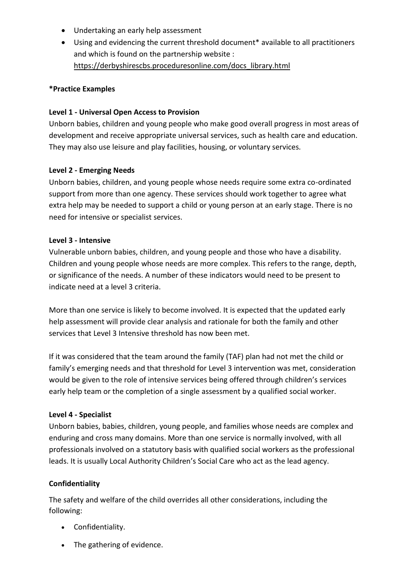- Undertaking an early help assessment
- Using and evidencing the current threshold document\* available to all practitioners and which is found on the partnership website : [https://derbyshirescbs.proceduresonline.com/docs\\_library.html](https://derbyshirescbs.proceduresonline.com/docs_library.html)

### **\*Practice Examples**

#### **Level 1 - Universal Open Access to Provision**

Unborn babies, children and young people who make good overall progress in most areas of development and receive appropriate universal services, such as health care and education. They may also use leisure and play facilities, housing, or voluntary services.

#### **Level 2 - Emerging Needs**

Unborn babies, children, and young people whose needs require some extra co-ordinated support from more than one agency. These services should work together to agree what extra help may be needed to support a child or young person at an early stage. There is no need for intensive or specialist services.

#### **Level 3 - Intensive**

Vulnerable unborn babies, children, and young people and those who have a disability. Children and young people whose needs are more complex. This refers to the range, depth, or significance of the needs. A number of these indicators would need to be present to indicate need at a level 3 criteria.

More than one service is likely to become involved. It is expected that the updated early help assessment will provide clear analysis and rationale for both the family and other services that Level 3 Intensive threshold has now been met.

If it was considered that the team around the family (TAF) plan had not met the child or family's emerging needs and that threshold for Level 3 intervention was met, consideration would be given to the role of intensive services being offered through children's services early help team or the completion of a single assessment by a qualified social worker.

### **Level 4 - Specialist**

Unborn babies, babies, children, young people, and families whose needs are complex and enduring and cross many domains. More than one service is normally involved, with all professionals involved on a statutory basis with qualified social workers as the professional leads. It is usually Local Authority Children's Social Care who act as the lead agency.

### **Confidentiality**

The safety and welfare of the child overrides all other considerations, including the following:

- Confidentiality.
- The gathering of evidence.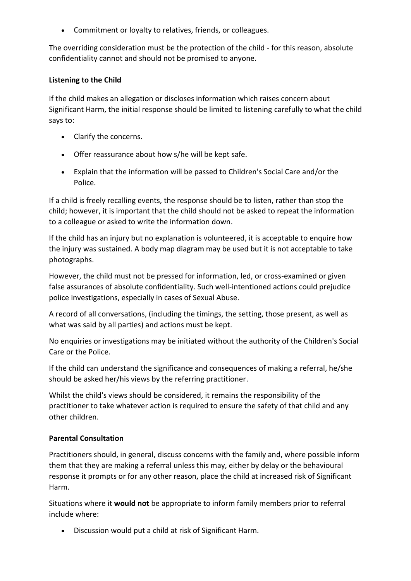• Commitment or loyalty to relatives, friends, or colleagues.

The overriding consideration must be the protection of the child - for this reason, absolute confidentiality cannot and should not be promised to anyone.

#### **Listening to the Child**

If the child makes an allegation or discloses information which raises concern about Significant Harm, the initial response should be limited to listening carefully to what the child says to:

- Clarify the concerns.
- Offer reassurance about how s/he will be kept safe.
- Explain that the information will be passed to Children's Social Care and/or the Police.

If a child is freely recalling events, the response should be to listen, rather than stop the child; however, it is important that the child should not be asked to repeat the information to a colleague or asked to write the information down.

If the child has an injury but no explanation is volunteered, it is acceptable to enquire how the injury was sustained. A body map diagram may be used but it is not acceptable to take photographs.

However, the child must not be pressed for information, led, or cross-examined or given false assurances of absolute confidentiality. Such well-intentioned actions could prejudice police investigations, especially in cases of Sexual Abuse.

A record of all conversations, (including the timings, the setting, those present, as well as what was said by all parties) and actions must be kept.

No enquiries or investigations may be initiated without the authority of the Children's Social Care or the Police.

If the child can understand the significance and consequences of making a referral, he/she should be asked her/his views by the referring practitioner.

Whilst the child's views should be considered, it remains the responsibility of the practitioner to take whatever action is required to ensure the safety of that child and any other children.

### **Parental Consultation**

Practitioners should, in general, discuss concerns with the family and, where possible inform them that they are making a referral unless this may, either by delay or the behavioural response it prompts or for any other reason, place the child at increased risk of Significant Harm.

Situations where it **would not** be appropriate to inform family members prior to referral include where:

• Discussion would put a child at risk of Significant Harm.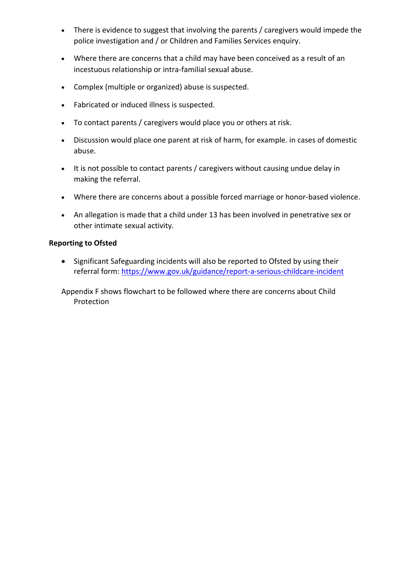- There is evidence to suggest that involving the parents / caregivers would impede the police investigation and / or Children and Families Services enquiry.
- Where there are concerns that a child may have been conceived as a result of an incestuous relationship or intra-familial sexual abuse.
- Complex (multiple or organized) abuse is suspected.
- Fabricated or induced illness is suspected.
- To contact parents / caregivers would place you or others at risk.
- Discussion would place one parent at risk of harm, for example. in cases of domestic abuse.
- It is not possible to contact parents / caregivers without causing undue delay in making the referral.
- Where there are concerns about a possible forced marriage or honor-based violence.
- An allegation is made that a child under 13 has been involved in penetrative sex or other intimate sexual activity.

#### **Reporting to Ofsted**

• Significant Safeguarding incidents will also be reported to Ofsted by using their referral form:<https://www.gov.uk/guidance/report-a-serious-childcare-incident>

Appendix F shows flowchart to be followed where there are concerns about Child Protection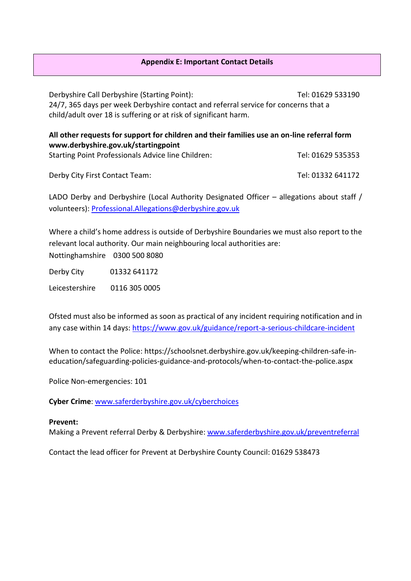#### **Appendix E: Important Contact Details**

Derbyshire Call Derbyshire (Starting Point): Tel: 01629 533190 24/7, 365 days per week Derbyshire contact and referral service for concerns that a child/adult over 18 is suffering or at risk of significant harm.

| All other requests for support for children and their families use an on-line referral form |                   |
|---------------------------------------------------------------------------------------------|-------------------|
| www.derbyshire.gov.uk/startingpoint                                                         |                   |
| <b>Starting Point Professionals Advice line Children:</b>                                   | Tel: 01629 535353 |

Derby City First Contact Team: Tel: 01332 641172

LADO Derby and Derbyshire (Local Authority Designated Officer – allegations about staff / volunteers): [Professional.Allegations@derbyshire.gov.uk](mailto:Professional.Allegations@derbyshire.gov.uk)

Where a child's home address is outside of Derbyshire Boundaries we must also report to the relevant local authority. Our main neighbouring local authorities are: Nottinghamshire 0300 500 8080

Derby City 01332 641172

Leicestershire 0116 305 0005

Ofsted must also be informed as soon as practical of any incident requiring notification and in any case within 14 days[: https://www.gov.uk/guidance/report-a-serious-childcare-incident](https://www.gov.uk/guidance/report-a-serious-childcare-incident)

When to contact the Police: [https://schoolsnet.derbyshire.gov.uk/keeping-children-safe-in](https://schoolsnet.derbyshire.gov.uk/keeping-children-safe-in-education/safeguarding-policies-guidance-and-protocols/when-to-contact-the-police.aspx)[education/safeguarding-policies-guidance-and-protocols/when-to-contact-the-police.aspx](https://schoolsnet.derbyshire.gov.uk/keeping-children-safe-in-education/safeguarding-policies-guidance-and-protocols/when-to-contact-the-police.aspx)

Police Non-emergencies: 101

**Cyber Crime**[: www.saferderbyshire.gov.uk/cyberchoices](http://www.saferderbyshire.gov.uk/cyberchoices)

#### **Prevent:**

Making a Prevent referral Derby & Derbyshire: [www.saferderbyshire.gov.uk/preventreferral](http://www.saferderbyshire.gov.uk/preventreferral)

Contact the lead officer for Prevent at Derbyshire County Council: 01629 538473